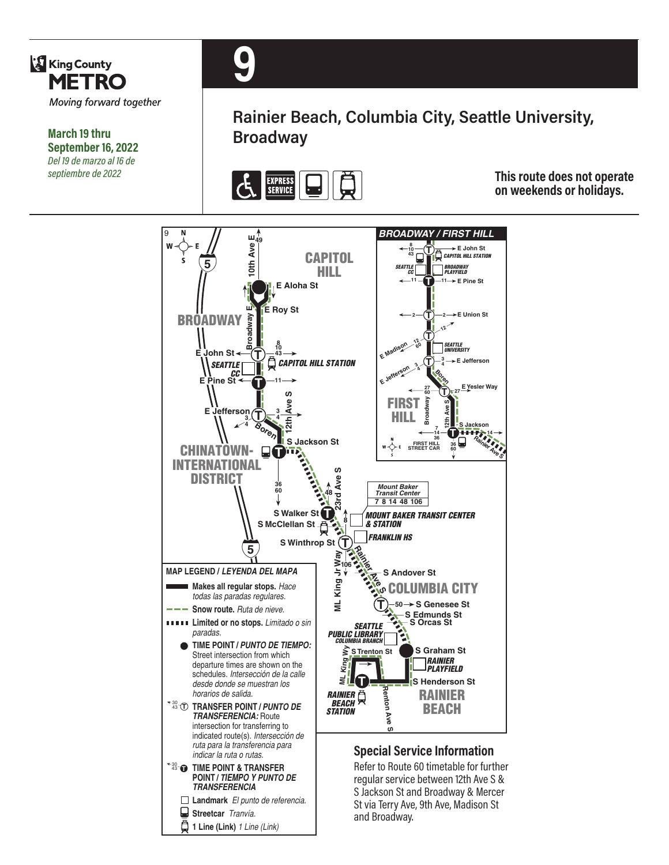

**March 19 thru September 16, 2022** *Del 19 de marzo al 16 de septiembre de 2022*



**Rainier Beach, Columbia City, Seattle University, Broadway**



**This route does not operate on weekends or holidays.**